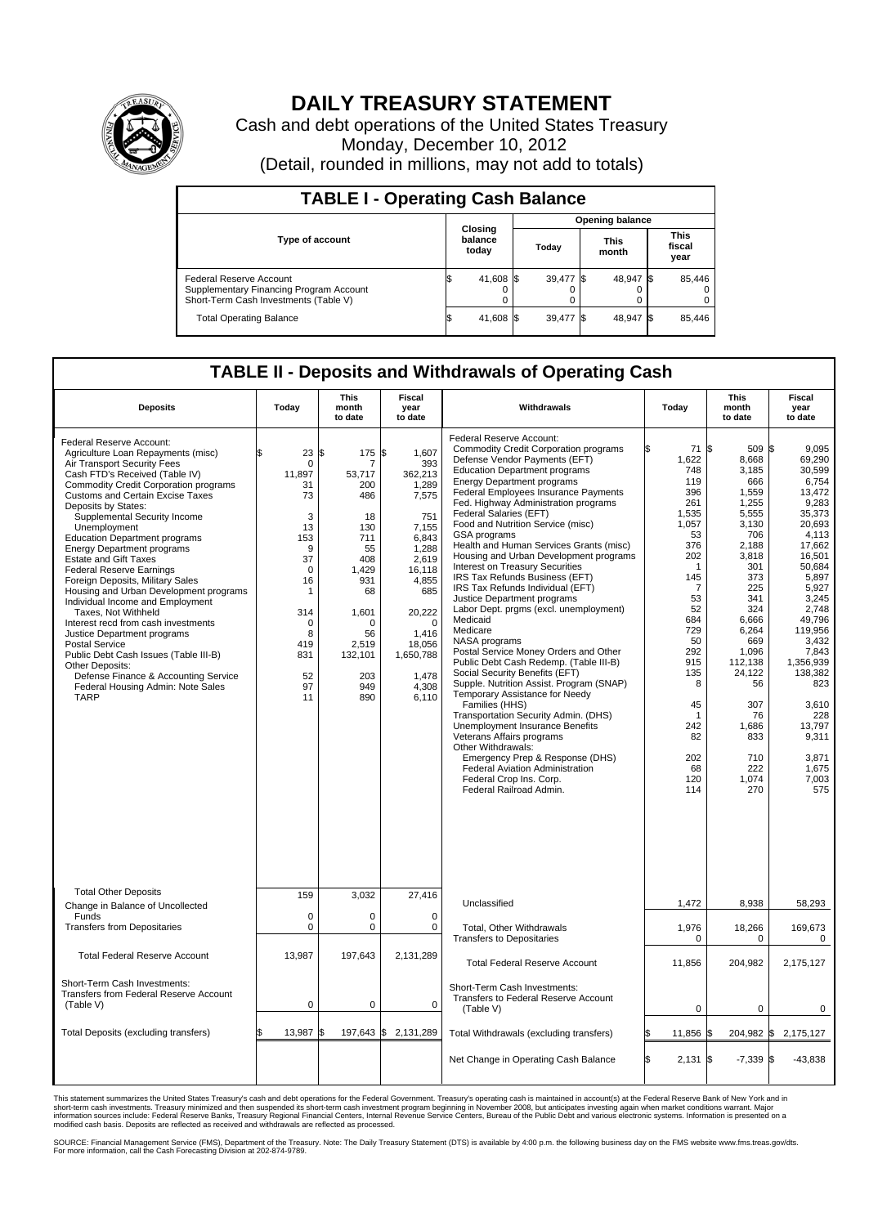

## **DAILY TREASURY STATEMENT**

Cash and debt operations of the United States Treasury Monday, December 10, 2012 (Detail, rounded in millions, may not add to totals)

| <b>TABLE I - Operating Cash Balance</b>                                                                     |                             |        |                        |           |                      |           |                               |        |  |
|-------------------------------------------------------------------------------------------------------------|-----------------------------|--------|------------------------|-----------|----------------------|-----------|-------------------------------|--------|--|
|                                                                                                             | Closing<br>balance<br>today |        | <b>Opening balance</b> |           |                      |           |                               |        |  |
| <b>Type of account</b>                                                                                      |                             |        | Todav                  |           | <b>This</b><br>month |           | <b>This</b><br>fiscal<br>year |        |  |
| Federal Reserve Account<br>Supplementary Financing Program Account<br>Short-Term Cash Investments (Table V) |                             | 41,608 |                        | 39,477 \$ |                      | 48.947 \$ |                               | 85,446 |  |
| <b>Total Operating Balance</b>                                                                              |                             | 41,608 |                        | 39.477    |                      | 48,947 \$ |                               | 85,446 |  |

## **TABLE II - Deposits and Withdrawals of Operating Cash**

| <b>Deposits</b>                                                                                                                                                                                                                                                                                                                                                                                                                                                                                                                                                                                                                                                                                                                                                                                                                                   | Today                                                                                                                                                             | <b>This</b><br>month<br>to date                                                                                                                                   | <b>Fiscal</b><br>year<br>to date                                                                                                                                                                   | Withdrawals                                                                                                                                                                                                                                                                                                                                                                                                                                                                                                                                                                                                                                                                                                                                                                                                                                                                                                                                                                                                                                                                                                                                                 | Today                                                                                                                                                                                                           | <b>This</b><br>month<br>to date                                                                                                                                                                                                                         | <b>Fiscal</b><br>year<br>to date                                                                                                                                                                                                                                                                |
|---------------------------------------------------------------------------------------------------------------------------------------------------------------------------------------------------------------------------------------------------------------------------------------------------------------------------------------------------------------------------------------------------------------------------------------------------------------------------------------------------------------------------------------------------------------------------------------------------------------------------------------------------------------------------------------------------------------------------------------------------------------------------------------------------------------------------------------------------|-------------------------------------------------------------------------------------------------------------------------------------------------------------------|-------------------------------------------------------------------------------------------------------------------------------------------------------------------|----------------------------------------------------------------------------------------------------------------------------------------------------------------------------------------------------|-------------------------------------------------------------------------------------------------------------------------------------------------------------------------------------------------------------------------------------------------------------------------------------------------------------------------------------------------------------------------------------------------------------------------------------------------------------------------------------------------------------------------------------------------------------------------------------------------------------------------------------------------------------------------------------------------------------------------------------------------------------------------------------------------------------------------------------------------------------------------------------------------------------------------------------------------------------------------------------------------------------------------------------------------------------------------------------------------------------------------------------------------------------|-----------------------------------------------------------------------------------------------------------------------------------------------------------------------------------------------------------------|---------------------------------------------------------------------------------------------------------------------------------------------------------------------------------------------------------------------------------------------------------|-------------------------------------------------------------------------------------------------------------------------------------------------------------------------------------------------------------------------------------------------------------------------------------------------|
| Federal Reserve Account:<br>Agriculture Loan Repayments (misc)<br>Air Transport Security Fees<br>Cash FTD's Received (Table IV)<br><b>Commodity Credit Corporation programs</b><br><b>Customs and Certain Excise Taxes</b><br>Deposits by States:<br>Supplemental Security Income<br>Unemployment<br><b>Education Department programs</b><br><b>Energy Department programs</b><br><b>Estate and Gift Taxes</b><br><b>Federal Reserve Earnings</b><br>Foreign Deposits, Military Sales<br>Housing and Urban Development programs<br>Individual Income and Employment<br>Taxes, Not Withheld<br>Interest recd from cash investments<br>Justice Department programs<br><b>Postal Service</b><br>Public Debt Cash Issues (Table III-B)<br>Other Deposits:<br>Defense Finance & Accounting Service<br>Federal Housing Admin: Note Sales<br><b>TARP</b> | ß.<br>23S<br>0<br>11.897<br>31<br>73<br>3<br>13<br>153<br>9<br>37<br>$\mathbf 0$<br>16<br>$\mathbf{1}$<br>314<br>$\mathbf 0$<br>8<br>419<br>831<br>52<br>97<br>11 | 175 \$<br>7<br>53,717<br>200<br>486<br>18<br>130<br>711<br>55<br>408<br>1,429<br>931<br>68<br>1,601<br>$\mathbf 0$<br>56<br>2,519<br>132,101<br>203<br>949<br>890 | 1.607<br>393<br>362,213<br>1,289<br>7,575<br>751<br>7,155<br>6,843<br>1,288<br>2,619<br>16,118<br>4,855<br>685<br>20,222<br>$\mathbf 0$<br>1,416<br>18,056<br>1,650,788<br>1,478<br>4,308<br>6,110 | Federal Reserve Account:<br><b>Commodity Credit Corporation programs</b><br>Defense Vendor Payments (EFT)<br><b>Education Department programs</b><br><b>Energy Department programs</b><br>Federal Employees Insurance Payments<br>Fed. Highway Administration programs<br>Federal Salaries (EFT)<br>Food and Nutrition Service (misc)<br>GSA programs<br>Health and Human Services Grants (misc)<br>Housing and Urban Development programs<br>Interest on Treasury Securities<br>IRS Tax Refunds Business (EFT)<br>IRS Tax Refunds Individual (EFT)<br>Justice Department programs<br>Labor Dept. prgms (excl. unemployment)<br>Medicaid<br>Medicare<br>NASA programs<br>Postal Service Money Orders and Other<br>Public Debt Cash Redemp. (Table III-B)<br>Social Security Benefits (EFT)<br>Supple. Nutrition Assist. Program (SNAP)<br>Temporary Assistance for Needy<br>Families (HHS)<br>Transportation Security Admin. (DHS)<br><b>Unemployment Insurance Benefits</b><br>Veterans Affairs programs<br>Other Withdrawals:<br>Emergency Prep & Response (DHS)<br>Federal Aviation Administration<br>Federal Crop Ins. Corp.<br>Federal Railroad Admin. | 71 \$<br>1,622<br>748<br>119<br>396<br>261<br>1,535<br>1,057<br>53<br>376<br>202<br>1<br>145<br>7<br>53<br>52<br>684<br>729<br>50<br>292<br>915<br>135<br>8<br>45<br>-1<br>242<br>82<br>202<br>68<br>120<br>114 | 509 \$<br>8,668<br>3,185<br>666<br>1,559<br>1,255<br>5,555<br>3,130<br>706<br>2,188<br>3,818<br>301<br>373<br>225<br>341<br>324<br>6,666<br>6,264<br>669<br>1,096<br>112.138<br>24,122<br>56<br>307<br>76<br>1,686<br>833<br>710<br>222<br>1,074<br>270 | 9,095<br>69.290<br>30,599<br>6.754<br>13,472<br>9,283<br>35,373<br>20.693<br>4,113<br>17,662<br>16,501<br>50,684<br>5,897<br>5,927<br>3,245<br>2.748<br>49,796<br>119,956<br>3,432<br>7,843<br>1.356.939<br>138,382<br>823<br>3,610<br>228<br>13,797<br>9,311<br>3.871<br>1,675<br>7,003<br>575 |
| <b>Total Other Deposits</b><br>Change in Balance of Uncollected                                                                                                                                                                                                                                                                                                                                                                                                                                                                                                                                                                                                                                                                                                                                                                                   | 159                                                                                                                                                               | 3,032                                                                                                                                                             | 27,416                                                                                                                                                                                             | Unclassified                                                                                                                                                                                                                                                                                                                                                                                                                                                                                                                                                                                                                                                                                                                                                                                                                                                                                                                                                                                                                                                                                                                                                | 1,472                                                                                                                                                                                                           | 8,938                                                                                                                                                                                                                                                   | 58,293                                                                                                                                                                                                                                                                                          |
| Funds<br><b>Transfers from Depositaries</b>                                                                                                                                                                                                                                                                                                                                                                                                                                                                                                                                                                                                                                                                                                                                                                                                       | $\mathbf 0$<br>0                                                                                                                                                  | $\mathbf 0$<br>$\pmb{0}$                                                                                                                                          | $\mathbf 0$<br>0                                                                                                                                                                                   | Total, Other Withdrawals<br><b>Transfers to Depositaries</b>                                                                                                                                                                                                                                                                                                                                                                                                                                                                                                                                                                                                                                                                                                                                                                                                                                                                                                                                                                                                                                                                                                | 1,976<br>0                                                                                                                                                                                                      | 18,266<br>0                                                                                                                                                                                                                                             | 169,673<br>0                                                                                                                                                                                                                                                                                    |
| <b>Total Federal Reserve Account</b>                                                                                                                                                                                                                                                                                                                                                                                                                                                                                                                                                                                                                                                                                                                                                                                                              | 13,987                                                                                                                                                            | 197,643                                                                                                                                                           | 2,131,289                                                                                                                                                                                          | <b>Total Federal Reserve Account</b>                                                                                                                                                                                                                                                                                                                                                                                                                                                                                                                                                                                                                                                                                                                                                                                                                                                                                                                                                                                                                                                                                                                        | 11,856                                                                                                                                                                                                          | 204,982                                                                                                                                                                                                                                                 | 2,175,127                                                                                                                                                                                                                                                                                       |
| Short-Term Cash Investments:<br>Transfers from Federal Reserve Account<br>(Table V)                                                                                                                                                                                                                                                                                                                                                                                                                                                                                                                                                                                                                                                                                                                                                               | $\overline{0}$                                                                                                                                                    | $\mathbf 0$                                                                                                                                                       | $\mathbf 0$                                                                                                                                                                                        | Short-Term Cash Investments:<br><b>Transfers to Federal Reserve Account</b><br>(Table V)                                                                                                                                                                                                                                                                                                                                                                                                                                                                                                                                                                                                                                                                                                                                                                                                                                                                                                                                                                                                                                                                    | $\mathbf 0$                                                                                                                                                                                                     | $\mathbf 0$                                                                                                                                                                                                                                             | 0                                                                                                                                                                                                                                                                                               |
| Total Deposits (excluding transfers)                                                                                                                                                                                                                                                                                                                                                                                                                                                                                                                                                                                                                                                                                                                                                                                                              | 13,987                                                                                                                                                            | 197,643<br>\$                                                                                                                                                     | 2,131,289<br>\$                                                                                                                                                                                    | Total Withdrawals (excluding transfers)                                                                                                                                                                                                                                                                                                                                                                                                                                                                                                                                                                                                                                                                                                                                                                                                                                                                                                                                                                                                                                                                                                                     | 11,856                                                                                                                                                                                                          | 204,982 \$                                                                                                                                                                                                                                              | 2,175,127                                                                                                                                                                                                                                                                                       |
|                                                                                                                                                                                                                                                                                                                                                                                                                                                                                                                                                                                                                                                                                                                                                                                                                                                   |                                                                                                                                                                   |                                                                                                                                                                   |                                                                                                                                                                                                    | Net Change in Operating Cash Balance                                                                                                                                                                                                                                                                                                                                                                                                                                                                                                                                                                                                                                                                                                                                                                                                                                                                                                                                                                                                                                                                                                                        | l\$<br>$2,131$ \$                                                                                                                                                                                               | $-7,339$ \$                                                                                                                                                                                                                                             | $-43,838$                                                                                                                                                                                                                                                                                       |

This statement summarizes the United States Treasury's cash and debt operations for the Federal Government. Treasury's operating cash is maintained in account(s) at the Federal Reserve Bank of New York and in<br>short-term ca

SOURCE: Financial Management Service (FMS), Department of the Treasury. Note: The Daily Treasury Statement (DTS) is available by 4:00 p.m. the following business day on the FMS website www.fms.treas.gov/dts.<br>For more infor